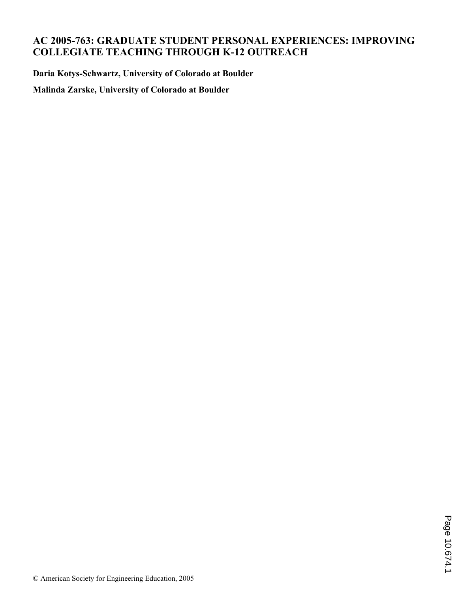# **AC 2005-763: GRADUATE STUDENT PERSONAL EXPERIENCES: IMPROVING COLLEGIATE TEACHING THROUGH K-12 OUTREACH**

**Daria Kotys-Schwartz, University of Colorado at Boulder**

**Malinda Zarske, University of Colorado at Boulder**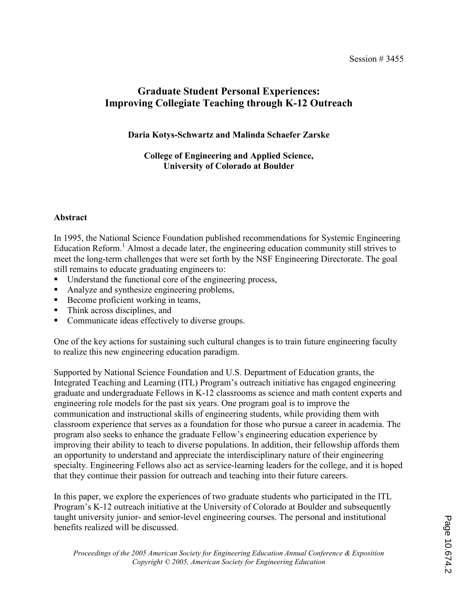# Graduate Student Personal Experiences: Improving Collegiate Teaching through K-12 Outreach

## Daria Kotys-Schwartz and Malinda Schaefer Zarske

## College of Engineering and Applied Science, University of Colorado at Boulder

## Abstract

In 1995, the National Science Foundation published recommendations for Systemic Engineering Education Reform.<sup>1</sup> Almost a decade later, the engineering education community still strives to meet the long-term challenges that were set forth by the NSF Engineering Directorate. The goal still remains to educate graduating engineers to:

- Understand the functional core of the engineering process,
- Analyze and synthesize engineering problems,
- Become proficient working in teams,
- Think across disciplines, and
- Communicate ideas effectively to diverse groups.

One of the key actions for sustaining such cultural changes is to train future engineering faculty to realize this new engineering education paradigm.

Supported by National Science Foundation and U.S. Department of Education grants, the Integrated Teaching and Learning (ITL) Program's outreach initiative has engaged engineering graduate and undergraduate Fellows in K-12 classrooms as science and math content experts and engineering role models for the past six years. One program goal is to improve the communication and instructional skills of engineering students, while providing them with classroom experience that serves as a foundation for those who pursue a career in academia. The program also seeks to enhance the graduate Fellow's engineering education experience by improving their ability to teach to diverse populations. In addition, their fellowship affords them an opportunity to understand and appreciate the interdisciplinary nature of their engineering specialty. Engineering Fellows also act as service-learning leaders for the college, and it is hoped that they continue their passion for outreach and teaching into their future careers.

In this paper, we explore the experiences of two graduate students who participated in the ITL Program's K-12 outreach initiative at the University of Colorado at Boulder and subsequently taught university junior- and senior-level engineering courses. The personal and institutional benefits realized will be discussed.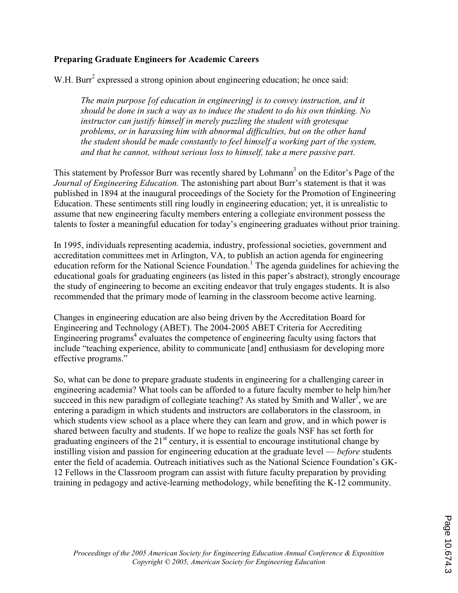## Preparing Graduate Engineers for Academic Careers

W.H. Burr<sup>2</sup> expressed a strong opinion about engineering education; he once said:

The main purpose [of education in engineering] is to convey instruction, and it should be done in such a way as to induce the student to do his own thinking. No instructor can justify himself in merely puzzling the student with grotesque problems, or in harassing him with abnormal difficulties, but on the other hand the student should be made constantly to feel himself a working part of the system, and that he cannot, without serious loss to himself, take a mere passive part.

This statement by Professor Burr was recently shared by Lohmann<sup>3</sup> on the Editor's Page of the Journal of Engineering Education. The astonishing part about Burr's statement is that it was published in 1894 at the inaugural proceedings of the Society for the Promotion of Engineering Education. These sentiments still ring loudly in engineering education; yet, it is unrealistic to assume that new engineering faculty members entering a collegiate environment possess the talents to foster a meaningful education for today's engineering graduates without prior training.

In 1995, individuals representing academia, industry, professional societies, government and accreditation committees met in Arlington, VA, to publish an action agenda for engineering education reform for the National Science Foundation.<sup>1</sup> The agenda guidelines for achieving the educational goals for graduating engineers (as listed in this paper's abstract), strongly encourage the study of engineering to become an exciting endeavor that truly engages students. It is also recommended that the primary mode of learning in the classroom become active learning.

Changes in engineering education are also being driven by the Accreditation Board for Engineering and Technology (ABET). The 2004-2005 ABET Criteria for Accrediting Engineering programs<sup>4</sup> evaluates the competence of engineering faculty using factors that include "teaching experience, ability to communicate [and] enthusiasm for developing more effective programs."

So, what can be done to prepare graduate students in engineering for a challenging career in engineering academia? What tools can be afforded to a future faculty member to help him/her succeed in this new paradigm of collegiate teaching? As stated by Smith and Waller<sup>5</sup>, we are entering a paradigm in which students and instructors are collaborators in the classroom, in which students view school as a place where they can learn and grow, and in which power is shared between faculty and students. If we hope to realize the goals NSF has set forth for graduating engineers of the  $21<sup>st</sup>$  century, it is essential to encourage institutional change by instilling vision and passion for engineering education at the graduate level — before students enter the field of academia. Outreach initiatives such as the National Science Foundation's GK-12 Fellows in the Classroom program can assist with future faculty preparation by providing training in pedagogy and active-learning methodology, while benefiting the K-12 community.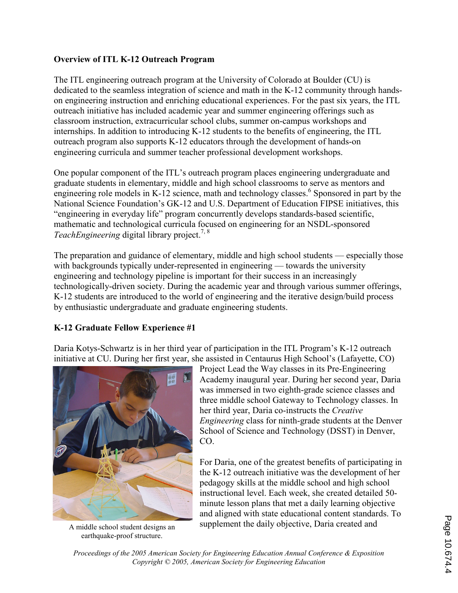## Overview of ITL K-12 Outreach Program

The ITL engineering outreach program at the University of Colorado at Boulder (CU) is dedicated to the seamless integration of science and math in the K-12 community through handson engineering instruction and enriching educational experiences. For the past six years, the ITL outreach initiative has included academic year and summer engineering offerings such as classroom instruction, extracurricular school clubs, summer on-campus workshops and internships. In addition to introducing K-12 students to the benefits of engineering, the ITL outreach program also supports K-12 educators through the development of hands-on engineering curricula and summer teacher professional development workshops.

One popular component of the ITL's outreach program places engineering undergraduate and graduate students in elementary, middle and high school classrooms to serve as mentors and engineering role models in K-12 science, math and technology classes.<sup>6</sup> Sponsored in part by the National Science Foundation's GK-12 and U.S. Department of Education FIPSE initiatives, this "engineering in everyday life" program concurrently develops standards-based scientific, mathematic and technological curricula focused on engineering for an NSDL-sponsored TeachEngineering digital library project.<sup>7, 8</sup>

The preparation and guidance of elementary, middle and high school students — especially those with backgrounds typically under-represented in engineering — towards the university engineering and technology pipeline is important for their success in an increasingly technologically-driven society. During the academic year and through various summer offerings, K-12 students are introduced to the world of engineering and the iterative design/build process by enthusiastic undergraduate and graduate engineering students.

## K-12 Graduate Fellow Experience #1

Daria Kotys-Schwartz is in her third year of participation in the ITL Program's K-12 outreach initiative at CU. During her first year, she assisted in Centaurus High School's (Lafayette, CO)



A middle school student designs an earthquake-proof structure.

Project Lead the Way classes in its Pre-Engineering Academy inaugural year. During her second year, Daria was immersed in two eighth-grade science classes and three middle school Gateway to Technology classes. In her third year, Daria co-instructs the Creative Engineering class for ninth-grade students at the Denver School of Science and Technology (DSST) in Denver, CO.

For Daria, one of the greatest benefits of participating in the K-12 outreach initiative was the development of her pedagogy skills at the middle school and high school instructional level. Each week, she created detailed 50 minute lesson plans that met a daily learning objective and aligned with state educational content standards. To supplement the daily objective, Daria created and

Proceedings of the 2005 American Society for Engineering Education Annual Conference & Exposition Copyright © 2005, American Society for Engineering Education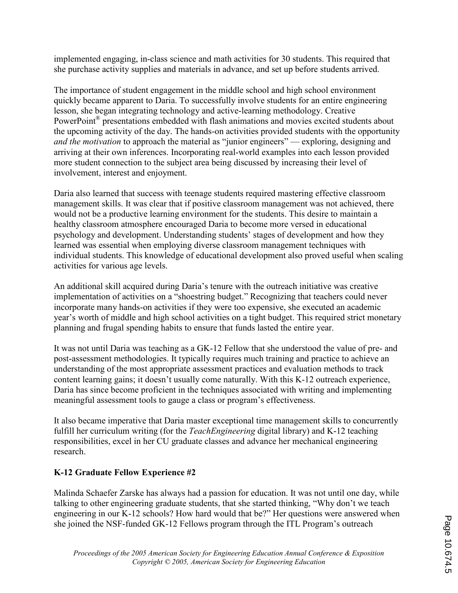implemented engaging, in-class science and math activities for 30 students. This required that she purchase activity supplies and materials in advance, and set up before students arrived.

The importance of student engagement in the middle school and high school environment quickly became apparent to Daria. To successfully involve students for an entire engineering lesson, she began integrating technology and active-learning methodology. Creative PowerPoint<sup>®</sup> presentations embedded with flash animations and movies excited students about the upcoming activity of the day. The hands-on activities provided students with the opportunity and the motivation to approach the material as "junior engineers" — exploring, designing and arriving at their own inferences. Incorporating real-world examples into each lesson provided more student connection to the subject area being discussed by increasing their level of involvement, interest and enjoyment.

Daria also learned that success with teenage students required mastering effective classroom management skills. It was clear that if positive classroom management was not achieved, there would not be a productive learning environment for the students. This desire to maintain a healthy classroom atmosphere encouraged Daria to become more versed in educational psychology and development. Understanding students' stages of development and how they learned was essential when employing diverse classroom management techniques with individual students. This knowledge of educational development also proved useful when scaling activities for various age levels.

An additional skill acquired during Daria's tenure with the outreach initiative was creative implementation of activities on a "shoestring budget." Recognizing that teachers could never incorporate many hands-on activities if they were too expensive, she executed an academic year's worth of middle and high school activities on a tight budget. This required strict monetary planning and frugal spending habits to ensure that funds lasted the entire year.

It was not until Daria was teaching as a GK-12 Fellow that she understood the value of pre- and post-assessment methodologies. It typically requires much training and practice to achieve an understanding of the most appropriate assessment practices and evaluation methods to track content learning gains; it doesn't usually come naturally. With this K-12 outreach experience, Daria has since become proficient in the techniques associated with writing and implementing meaningful assessment tools to gauge a class or program's effectiveness.

It also became imperative that Daria master exceptional time management skills to concurrently fulfill her curriculum writing (for the *TeachEngineering* digital library) and K-12 teaching responsibilities, excel in her CU graduate classes and advance her mechanical engineering research.

## K-12 Graduate Fellow Experience #2

Malinda Schaefer Zarske has always had a passion for education. It was not until one day, while talking to other engineering graduate students, that she started thinking, "Why don't we teach engineering in our K-12 schools? How hard would that be?" Her questions were answered when she joined the NSF-funded GK-12 Fellows program through the ITL Program's outreach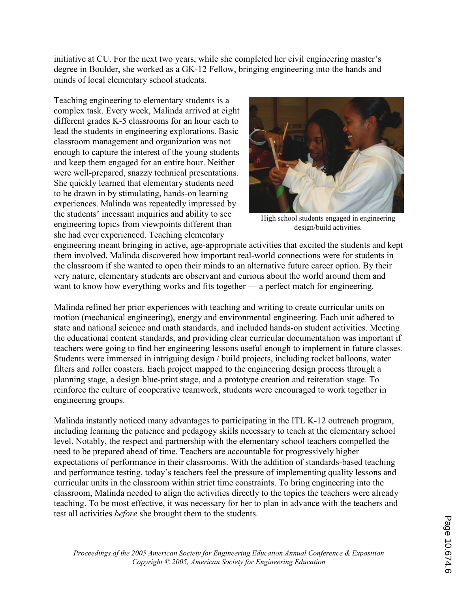initiative at CU. For the next two years, while she completed her civil engineering master's degree in Boulder, she worked as a GK-12 Fellow, bringing engineering into the hands and minds of local elementary school students.

Teaching engineering to elementary students is a complex task. Every week, Malinda arrived at eight different grades K-5 classrooms for an hour each to lead the students in engineering explorations. Basic classroom management and organization was not enough to capture the interest of the young students and keep them engaged for an entire hour. Neither were well-prepared, snazzy technical presentations. She quickly learned that elementary students need to be drawn in by stimulating, hands-on learning experiences. Malinda was repeatedly impressed by the students' incessant inquiries and ability to see engineering topics from viewpoints different than she had ever experienced. Teaching elementary



High school students engaged in engineering design/build activities.

engineering meant bringing in active, age-appropriate activities that excited the students and kept them involved. Malinda discovered how important real-world connections were for students in the classroom if she wanted to open their minds to an alternative future career option. By their very nature, elementary students are observant and curious about the world around them and want to know how everything works and fits together — a perfect match for engineering.

Malinda refined her prior experiences with teaching and writing to create curricular units on motion (mechanical engineering), energy and environmental engineering. Each unit adhered to state and national science and math standards, and included hands-on student activities. Meeting the educational content standards, and providing clear curricular documentation was important if teachers were going to find her engineering lessons useful enough to implement in future classes. Students were immersed in intriguing design / build projects, including rocket balloons, water filters and roller coasters. Each project mapped to the engineering design process through a planning stage, a design blue-print stage, and a prototype creation and reiteration stage. To reinforce the culture of cooperative teamwork, students were encouraged to work together in engineering groups.

Malinda instantly noticed many advantages to participating in the ITL K-12 outreach program, including learning the patience and pedagogy skills necessary to teach at the elementary school level. Notably, the respect and partnership with the elementary school teachers compelled the need to be prepared ahead of time. Teachers are accountable for progressively higher expectations of performance in their classrooms. With the addition of standards-based teaching and performance testing, today's teachers feel the pressure of implementing quality lessons and curricular units in the classroom within strict time constraints. To bring engineering into the classroom, Malinda needed to align the activities directly to the topics the teachers were already teaching. To be most effective, it was necessary for her to plan in advance with the teachers and test all activities before she brought them to the students.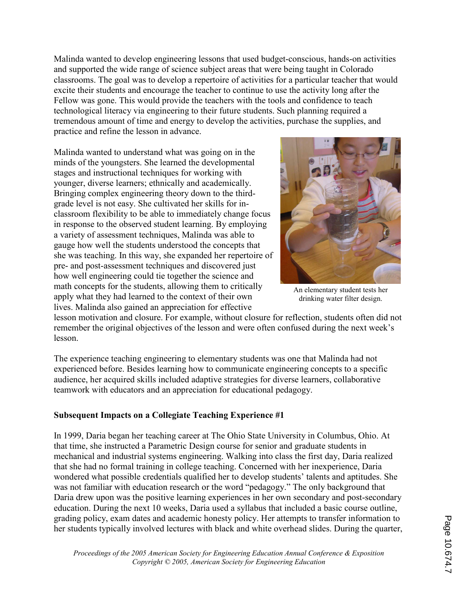Malinda wanted to develop engineering lessons that used budget-conscious, hands-on activities and supported the wide range of science subject areas that were being taught in Colorado classrooms. The goal was to develop a repertoire of activities for a particular teacher that would excite their students and encourage the teacher to continue to use the activity long after the Fellow was gone. This would provide the teachers with the tools and confidence to teach technological literacy via engineering to their future students. Such planning required a tremendous amount of time and energy to develop the activities, purchase the supplies, and practice and refine the lesson in advance.

Malinda wanted to understand what was going on in the minds of the youngsters. She learned the developmental stages and instructional techniques for working with younger, diverse learners; ethnically and academically. Bringing complex engineering theory down to the thirdgrade level is not easy. She cultivated her skills for inclassroom flexibility to be able to immediately change focus in response to the observed student learning. By employing a variety of assessment techniques, Malinda was able to gauge how well the students understood the concepts that she was teaching. In this way, she expanded her repertoire of pre- and post-assessment techniques and discovered just how well engineering could tie together the science and math concepts for the students, allowing them to critically apply what they had learned to the context of their own lives. Malinda also gained an appreciation for effective



An elementary student tests her drinking water filter design.

lesson motivation and closure. For example, without closure for reflection, students often did not remember the original objectives of the lesson and were often confused during the next week's lesson.

The experience teaching engineering to elementary students was one that Malinda had not experienced before. Besides learning how to communicate engineering concepts to a specific audience, her acquired skills included adaptive strategies for diverse learners, collaborative teamwork with educators and an appreciation for educational pedagogy.

#### Subsequent Impacts on a Collegiate Teaching Experience #1

In 1999, Daria began her teaching career at The Ohio State University in Columbus, Ohio. At that time, she instructed a Parametric Design course for senior and graduate students in mechanical and industrial systems engineering. Walking into class the first day, Daria realized that she had no formal training in college teaching. Concerned with her inexperience, Daria wondered what possible credentials qualified her to develop students' talents and aptitudes. She was not familiar with education research or the word "pedagogy." The only background that Daria drew upon was the positive learning experiences in her own secondary and post-secondary education. During the next 10 weeks, Daria used a syllabus that included a basic course outline, grading policy, exam dates and academic honesty policy. Her attempts to transfer information to her students typically involved lectures with black and white overhead slides. During the quarter,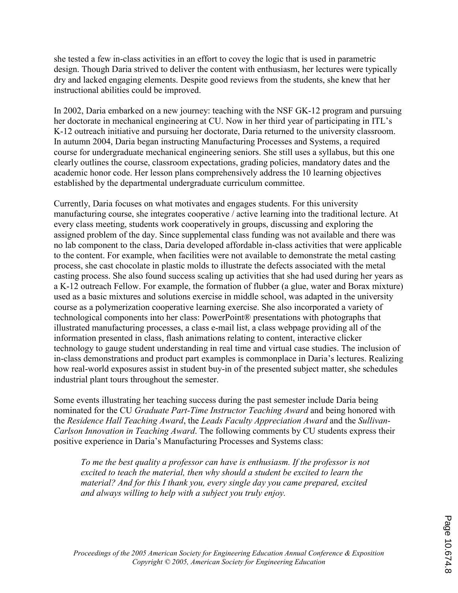she tested a few in-class activities in an effort to covey the logic that is used in parametric design. Though Daria strived to deliver the content with enthusiasm, her lectures were typically dry and lacked engaging elements. Despite good reviews from the students, she knew that her instructional abilities could be improved.

In 2002, Daria embarked on a new journey: teaching with the NSF GK-12 program and pursuing her doctorate in mechanical engineering at CU. Now in her third year of participating in ITL's K-12 outreach initiative and pursuing her doctorate, Daria returned to the university classroom. In autumn 2004, Daria began instructing Manufacturing Processes and Systems, a required course for undergraduate mechanical engineering seniors. She still uses a syllabus, but this one clearly outlines the course, classroom expectations, grading policies, mandatory dates and the academic honor code. Her lesson plans comprehensively address the 10 learning objectives established by the departmental undergraduate curriculum committee.

Currently, Daria focuses on what motivates and engages students. For this university manufacturing course, she integrates cooperative / active learning into the traditional lecture. At every class meeting, students work cooperatively in groups, discussing and exploring the assigned problem of the day. Since supplemental class funding was not available and there was no lab component to the class, Daria developed affordable in-class activities that were applicable to the content. For example, when facilities were not available to demonstrate the metal casting process, she cast chocolate in plastic molds to illustrate the defects associated with the metal casting process. She also found success scaling up activities that she had used during her years as a K-12 outreach Fellow. For example, the formation of flubber (a glue, water and Borax mixture) used as a basic mixtures and solutions exercise in middle school, was adapted in the university course as a polymerization cooperative learning exercise. She also incorporated a variety of technological components into her class: PowerPoint® presentations with photographs that illustrated manufacturing processes, a class e-mail list, a class webpage providing all of the information presented in class, flash animations relating to content, interactive clicker technology to gauge student understanding in real time and virtual case studies. The inclusion of in-class demonstrations and product part examples is commonplace in Daria's lectures. Realizing how real-world exposures assist in student buy-in of the presented subject matter, she schedules industrial plant tours throughout the semester.

Some events illustrating her teaching success during the past semester include Daria being nominated for the CU Graduate Part-Time Instructor Teaching Award and being honored with the Residence Hall Teaching Award, the Leads Faculty Appreciation Award and the Sullivan-Carlson Innovation in Teaching Award. The following comments by CU students express their positive experience in Daria's Manufacturing Processes and Systems class:

To me the best quality a professor can have is enthusiasm. If the professor is not excited to teach the material, then why should a student be excited to learn the material? And for this I thank you, every single day you came prepared, excited and always willing to help with a subject you truly enjoy.

Proceedings of the 2005 American Society for Engineering Education Annual Conference & Exposition Copyright © 2005, American Society for Engineering Education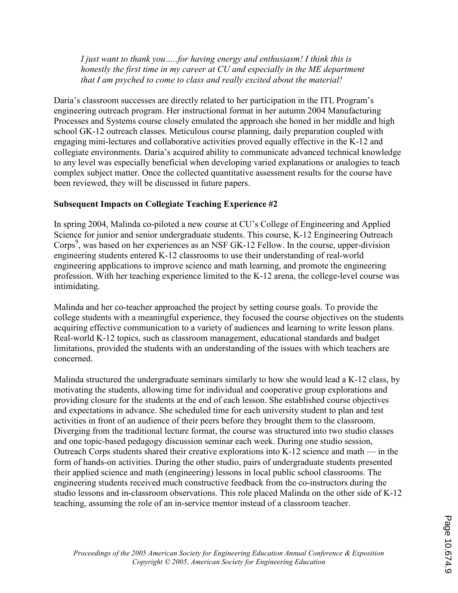I just want to thank you…..for having energy and enthusiasm! I think this is honestly the first time in my career at CU and especially in the ME department that I am psyched to come to class and really excited about the material!

Daria's classroom successes are directly related to her participation in the ITL Program's engineering outreach program. Her instructional format in her autumn 2004 Manufacturing Processes and Systems course closely emulated the approach she honed in her middle and high school GK-12 outreach classes. Meticulous course planning, daily preparation coupled with engaging mini-lectures and collaborative activities proved equally effective in the K-12 and collegiate environments. Daria's acquired ability to communicate advanced technical knowledge to any level was especially beneficial when developing varied explanations or analogies to teach complex subject matter. Once the collected quantitative assessment results for the course have been reviewed, they will be discussed in future papers.

## Subsequent Impacts on Collegiate Teaching Experience #2

In spring 2004, Malinda co-piloted a new course at CU's College of Engineering and Applied Science for junior and senior undergraduate students. This course, K-12 Engineering Outreach Corps<sup>9</sup>, was based on her experiences as an NSF GK-12 Fellow. In the course, upper-division engineering students entered K-12 classrooms to use their understanding of real-world engineering applications to improve science and math learning, and promote the engineering profession. With her teaching experience limited to the K-12 arena, the college-level course was intimidating.

Malinda and her co-teacher approached the project by setting course goals. To provide the college students with a meaningful experience, they focused the course objectives on the students acquiring effective communication to a variety of audiences and learning to write lesson plans. Real-world K-12 topics, such as classroom management, educational standards and budget limitations, provided the students with an understanding of the issues with which teachers are concerned.

Malinda structured the undergraduate seminars similarly to how she would lead a K-12 class, by motivating the students, allowing time for individual and cooperative group explorations and providing closure for the students at the end of each lesson. She established course objectives and expectations in advance. She scheduled time for each university student to plan and test activities in front of an audience of their peers before they brought them to the classroom. Diverging from the traditional lecture format, the course was structured into two studio classes and one topic-based pedagogy discussion seminar each week. During one studio session, Outreach Corps students shared their creative explorations into K-12 science and math — in the form of hands-on activities. During the other studio, pairs of undergraduate students presented their applied science and math (engineering) lessons in local public school classrooms. The engineering students received much constructive feedback from the co-instructors during the studio lessons and in-classroom observations. This role placed Malinda on the other side of K-12 teaching, assuming the role of an in-service mentor instead of a classroom teacher.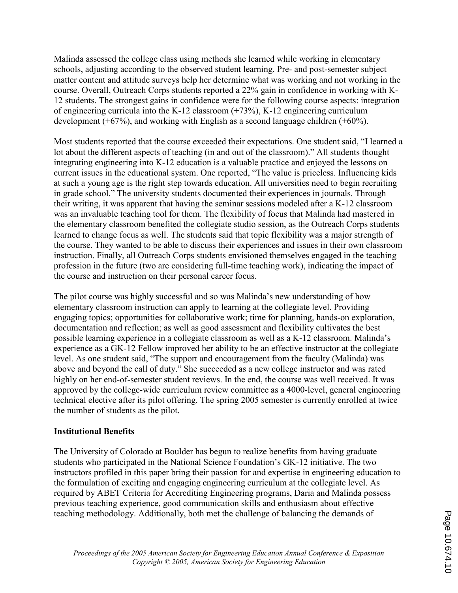Malinda assessed the college class using methods she learned while working in elementary schools, adjusting according to the observed student learning. Pre- and post-semester subject matter content and attitude surveys help her determine what was working and not working in the course. Overall, Outreach Corps students reported a 22% gain in confidence in working with K-12 students. The strongest gains in confidence were for the following course aspects: integration of engineering curricula into the K-12 classroom (+73%), K-12 engineering curriculum development (+67%), and working with English as a second language children (+60%).

Most students reported that the course exceeded their expectations. One student said, "I learned a lot about the different aspects of teaching (in and out of the classroom)." All students thought integrating engineering into K-12 education is a valuable practice and enjoyed the lessons on current issues in the educational system. One reported, "The value is priceless. Influencing kids at such a young age is the right step towards education. All universities need to begin recruiting in grade school." The university students documented their experiences in journals. Through their writing, it was apparent that having the seminar sessions modeled after a K-12 classroom was an invaluable teaching tool for them. The flexibility of focus that Malinda had mastered in the elementary classroom benefited the collegiate studio session, as the Outreach Corps students learned to change focus as well. The students said that topic flexibility was a major strength of the course. They wanted to be able to discuss their experiences and issues in their own classroom instruction. Finally, all Outreach Corps students envisioned themselves engaged in the teaching profession in the future (two are considering full-time teaching work), indicating the impact of the course and instruction on their personal career focus.

The pilot course was highly successful and so was Malinda's new understanding of how elementary classroom instruction can apply to learning at the collegiate level. Providing engaging topics; opportunities for collaborative work; time for planning, hands-on exploration, documentation and reflection; as well as good assessment and flexibility cultivates the best possible learning experience in a collegiate classroom as well as a K-12 classroom. Malinda's experience as a GK-12 Fellow improved her ability to be an effective instructor at the collegiate level. As one student said, "The support and encouragement from the faculty (Malinda) was above and beyond the call of duty." She succeeded as a new college instructor and was rated highly on her end-of-semester student reviews. In the end, the course was well received. It was approved by the college-wide curriculum review committee as a 4000-level, general engineering technical elective after its pilot offering. The spring 2005 semester is currently enrolled at twice the number of students as the pilot.

#### Institutional Benefits

The University of Colorado at Boulder has begun to realize benefits from having graduate students who participated in the National Science Foundation's GK-12 initiative. The two instructors profiled in this paper bring their passion for and expertise in engineering education to the formulation of exciting and engaging engineering curriculum at the collegiate level. As required by ABET Criteria for Accrediting Engineering programs, Daria and Malinda possess previous teaching experience, good communication skills and enthusiasm about effective teaching methodology. Additionally, both met the challenge of balancing the demands of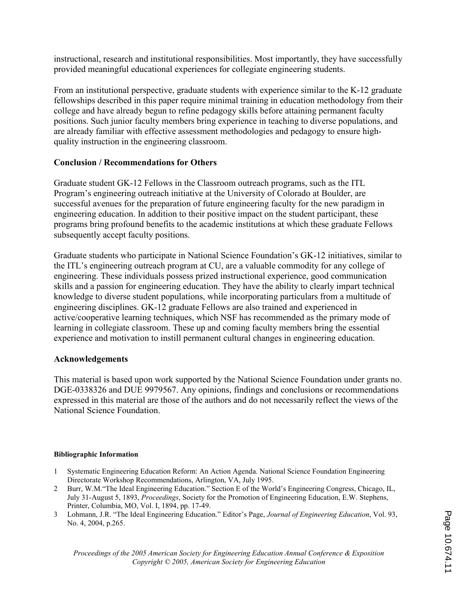instructional, research and institutional responsibilities. Most importantly, they have successfully provided meaningful educational experiences for collegiate engineering students.

From an institutional perspective, graduate students with experience similar to the K-12 graduate fellowships described in this paper require minimal training in education methodology from their college and have already begun to refine pedagogy skills before attaining permanent faculty positions. Such junior faculty members bring experience in teaching to diverse populations, and are already familiar with effective assessment methodologies and pedagogy to ensure highquality instruction in the engineering classroom.

## Conclusion / Recommendations for Others

Graduate student GK-12 Fellows in the Classroom outreach programs, such as the ITL Program's engineering outreach initiative at the University of Colorado at Boulder, are successful avenues for the preparation of future engineering faculty for the new paradigm in engineering education. In addition to their positive impact on the student participant, these programs bring profound benefits to the academic institutions at which these graduate Fellows subsequently accept faculty positions.

Graduate students who participate in National Science Foundation's GK-12 initiatives, similar to the ITL's engineering outreach program at CU, are a valuable commodity for any college of engineering. These individuals possess prized instructional experience, good communication skills and a passion for engineering education. They have the ability to clearly impart technical knowledge to diverse student populations, while incorporating particulars from a multitude of engineering disciplines. GK-12 graduate Fellows are also trained and experienced in active/cooperative learning techniques, which NSF has recommended as the primary mode of learning in collegiate classroom. These up and coming faculty members bring the essential experience and motivation to instill permanent cultural changes in engineering education.

#### Acknowledgements

This material is based upon work supported by the National Science Foundation under grants no. DGE-0338326 and DUE 9979567. Any opinions, findings and conclusions or recommendations expressed in this material are those of the authors and do not necessarily reflect the views of the National Science Foundation.

#### Bibliographic Information

- 1 Systematic Engineering Education Reform: An Action Agenda. National Science Foundation Engineering Directorate Workshop Recommendations, Arlington, VA, July 1995.
- 2 Burr, W.M."The Ideal Engineering Education." Section E of the World's Engineering Congress, Chicago, IL, July 31-August 5, 1893, Proceedings, Society for the Promotion of Engineering Education, E.W. Stephens, Printer, Columbia, MO, Vol. I, 1894, pp. 17-49.
- 3 Lohmann, J.R. "The Ideal Engineering Education." Editor's Page, Journal of Engineering Education, Vol. 93, No. 4, 2004, p.265.